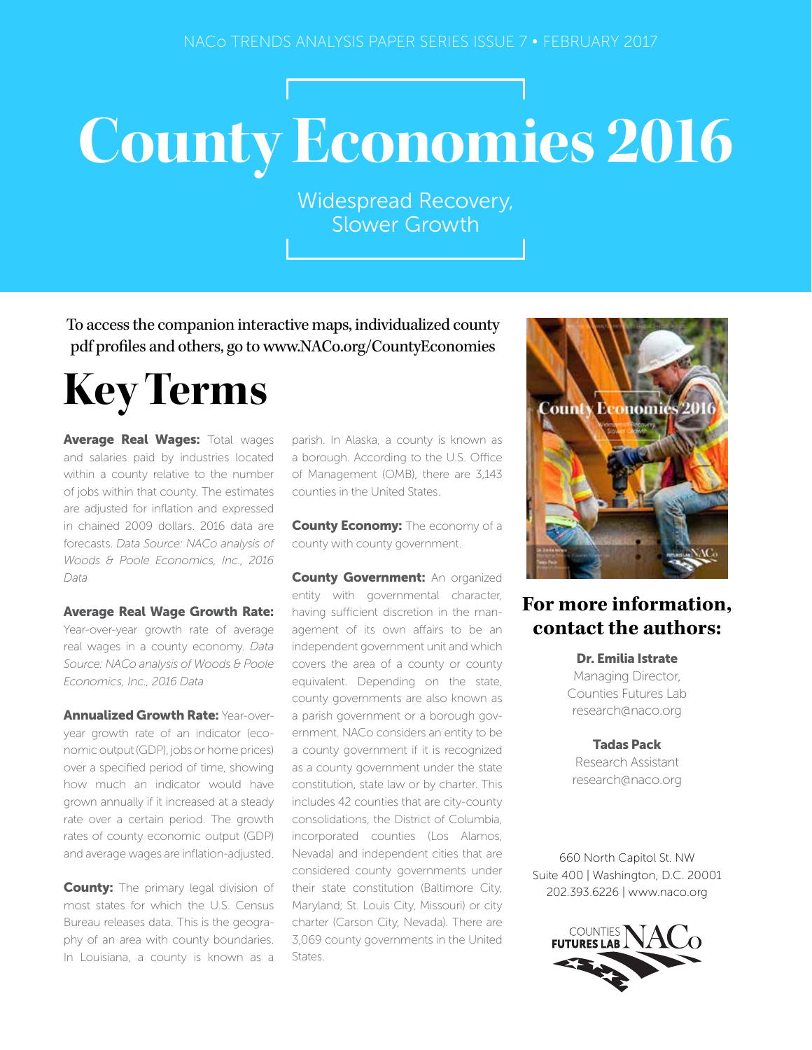## **County Economies 2016**

Widespread Recovery, Slower Growth

To access the companion interactive maps, individualized county pdf profiles and others, go to www.NACo.org/CountyEconomies

## **Key Terms**

Average Real Wages: Total wages and salaries paid by industries located within a county relative to the number of jobs within that county. The estimates are adjusted for inflation and expressed in chained 2009 dollars. 2016 data are forecasts. *Data Source: NACo analysis of Woods & Poole Economics, Inc., 2016 Data*

Average Real Wage Growth Rate: Year-over-year growth rate of average real wages in a county economy. *Data Source: NACo analysis of Woods & Poole Economics, Inc., 2016 Data*

**Annualized Growth Rate: Year-over**year growth rate of an indicator (economic output (GDP), jobs or home prices) over a specified period of time, showing how much an indicator would have grown annually if it increased at a steady rate over a certain period. The growth rates of county economic output (GDP) and average wages are inflation-adjusted.

**County:** The primary legal division of most states for which the U.S. Census Bureau releases data. This is the geography of an area with county boundaries. In Louisiana, a county is known as a parish. In Alaska, a county is known as a borough. According to the U.S. Office of Management (OMB), there are 3,143 counties in the United States.

**County Economy:** The economy of a county with county government.

**County Government: An organized** entity with governmental character, having sufficient discretion in the management of its own affairs to be an independent government unit and which covers the area of a county or county equivalent. Depending on the state, county governments are also known as a parish government or a borough government. NACo considers an entity to be a county government if it is recognized as a county government under the state constitution, state law or by charter. This includes 42 counties that are city-county consolidations, the District of Columbia, incorporated counties (Los Alamos, Nevada) and independent cities that are considered county governments under their state constitution (Baltimore City, Maryland; St. Louis City, Missouri) or city charter (Carson City, Nevada). There are 3,069 county governments in the United States.



## **For more information, contact the authors:**

Dr. Emilia Istrate Managing Director, Counties Futures Lab research@naco.org

Tadas Pack Research Assistant research@naco.org

660 North Capitol St. NW Suite 400 | Washington, D.C. 20001 202.393.6226 | www.naco.org